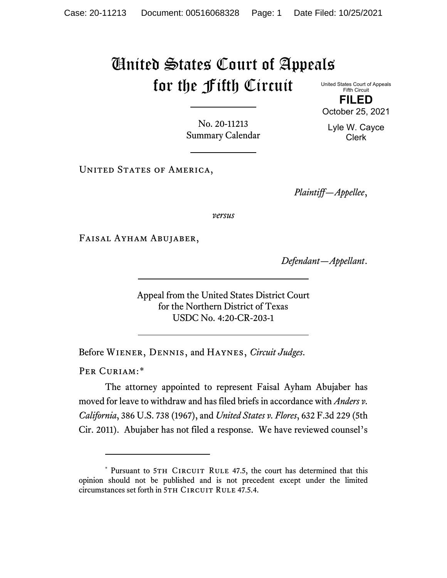## United States Court of Appeals for the Fifth Circuit United States Court of Appeals

Fifth Circuit **FILED**

No. 20-11213 Summary Calendar

UNITED STATES OF AMERICA,

*Plaintiff—Appellee*,

*versus*

Faisal Ayham Abujaber,

*Defendant—Appellant*.

Appeal from the United States District Court for the Northern District of Texas USDC No. 4:20-CR-203-1

Before Wiener, Dennis, and Haynes, *Circuit Judges*.

PER CURIAM:[\\*](#page-0-0)

The attorney appointed to represent Faisal Ayham Abujaber has moved for leave to withdraw and has filed briefs in accordance with *Anders v. California*, 386 U.S. 738 (1967), and *United States v. Flores*, 632 F.3d 229 (5th Cir. 2011). Abujaber has not filed a response. We have reviewed counsel's



<span id="page-0-0"></span><sup>\*</sup> Pursuant to 5TH CIRCUIT RULE 47.5, the court has determined that this opinion should not be published and is not precedent except under the limited circumstances set forth in 5TH CIRCUIT RULE 47.5.4.